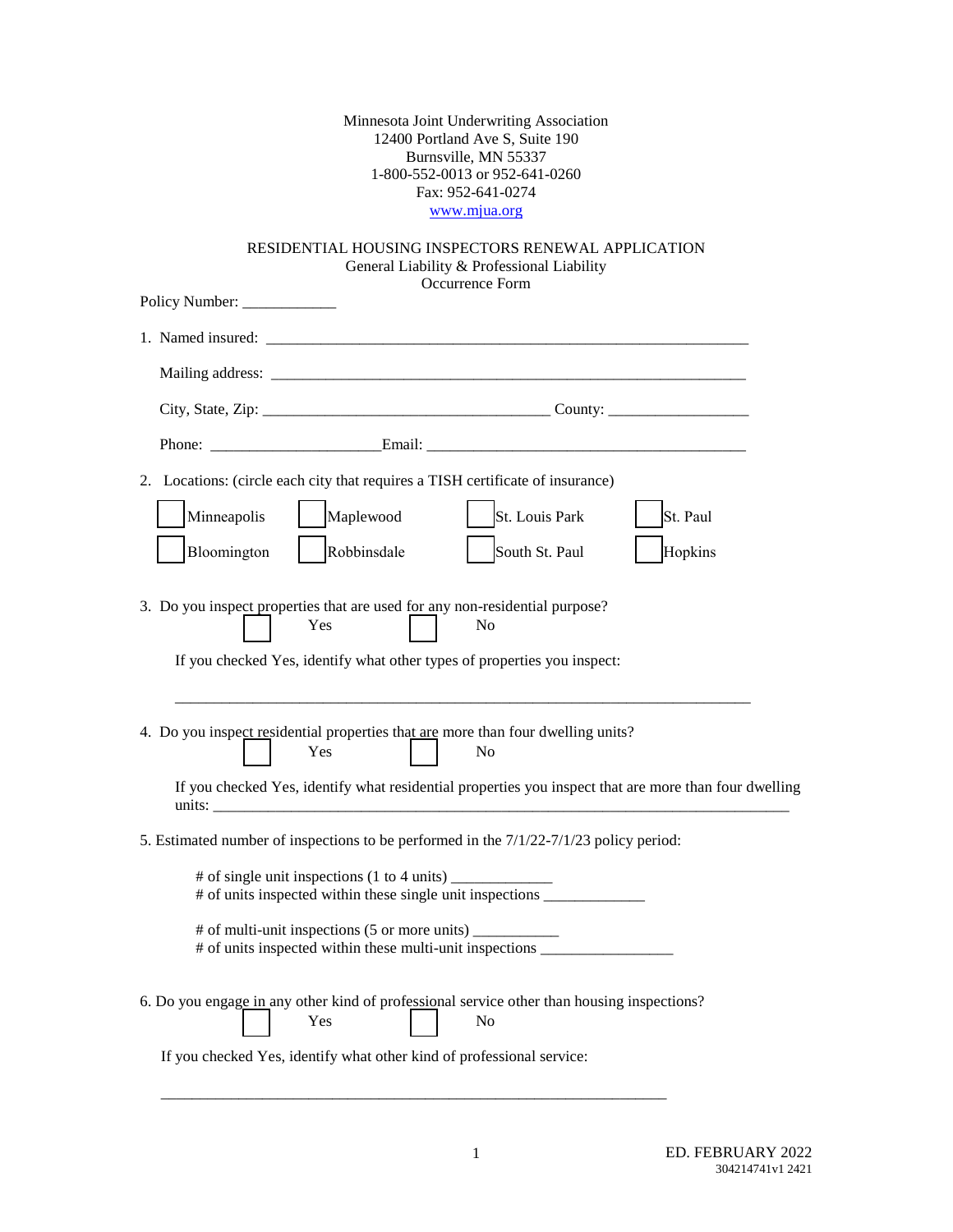Minnesota Joint Underwriting Association 12400 Portland Ave S, Suite 190 Burnsville, MN 55337 1-800-552-0013 or 952-641-0260 Fax: 952-641-0274 [www.mjua.org](http://www.mjua.org/)

## RESIDENTIAL HOUSING INSPECTORS RENEWAL APPLICATION General Liability & Professional Liability Occurrence Form

\_\_\_\_\_\_\_\_\_\_\_\_\_\_\_\_\_\_\_\_\_\_\_\_\_\_\_\_\_\_\_\_\_\_\_\_\_\_\_\_\_\_\_\_\_\_\_\_\_\_\_\_\_\_\_\_\_\_\_\_\_\_\_\_\_